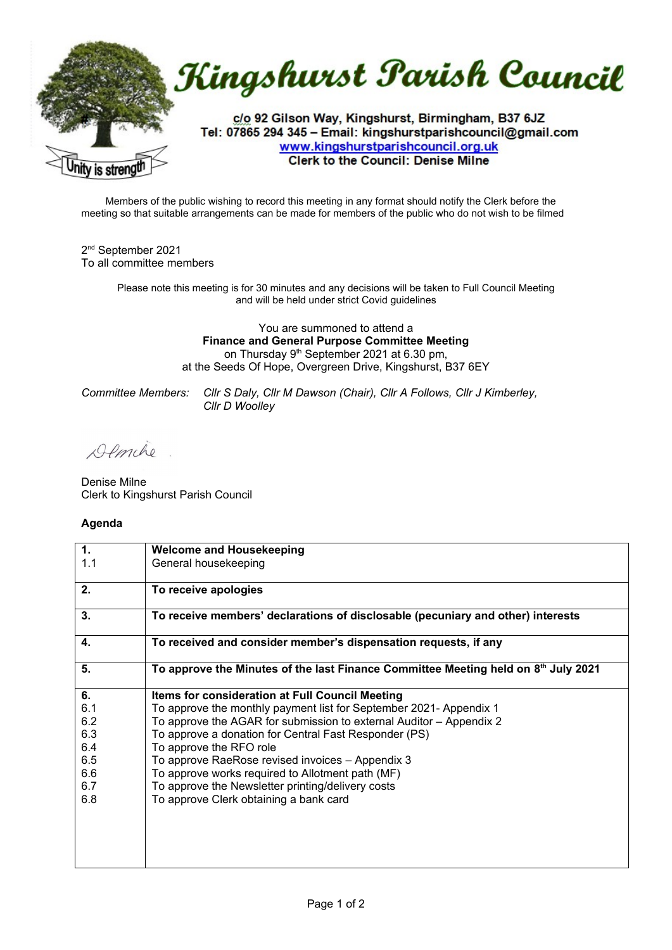

Members of the public wishing to record this meeting in any format should notify the Clerk before the meeting so that suitable arrangements can be made for members of the public who do not wish to be filmed

2<sup>nd</sup> September 2021 To all committee members

> Please note this meeting is for 30 minutes and any decisions will be taken to Full Council Meeting and will be held under strict Covid guidelines

> > You are summoned to attend a **Finance and General Purpose Committee Meeting** on Thursday 9<sup>th</sup> September 2021 at 6.30 pm, at the Seeds Of Hope, Overgreen Drive, Kingshurst, B37 6EY

*Committee Members: Cllr S Daly, Cllr M Dawson (Chair), Cllr A Follows, Cllr J Kimberley, Cllr D Woolley*

Demche

Denise Milne Clerk to Kingshurst Parish Council

## **Agenda**

| 1.  | <b>Welcome and Housekeeping</b>                                                    |
|-----|------------------------------------------------------------------------------------|
| 1.1 | General housekeeping                                                               |
| 2.  | To receive apologies                                                               |
| 3.  | To receive members' declarations of disclosable (pecuniary and other) interests    |
| 4.  | To received and consider member's dispensation requests, if any                    |
| 5.  | To approve the Minutes of the last Finance Committee Meeting held on 8th July 2021 |
| 6.  | Items for consideration at Full Council Meeting                                    |
| 6.1 | To approve the monthly payment list for September 2021- Appendix 1                 |
| 6.2 | To approve the AGAR for submission to external Auditor - Appendix 2                |
| 6.3 | To approve a donation for Central Fast Responder (PS)                              |
| 6.4 | To approve the RFO role                                                            |
| 6.5 | To approve RaeRose revised invoices - Appendix 3                                   |
| 6.6 | To approve works required to Allotment path (MF)                                   |
| 6.7 | To approve the Newsletter printing/delivery costs                                  |
| 6.8 | To approve Clerk obtaining a bank card                                             |
|     |                                                                                    |
|     |                                                                                    |
|     |                                                                                    |
|     |                                                                                    |
|     |                                                                                    |